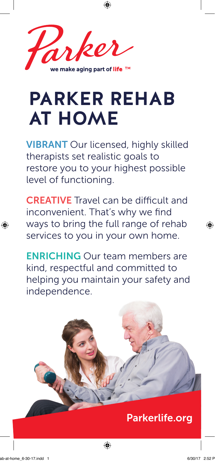

# **PARKER REHAB AT HOME**

⊕

VIBRANT Our licensed, highly skilled therapists set realistic goals to restore you to your highest possible level of functioning.

CREATIVE Travel can be difficult and inconvenient. That's why we find ways to bring the full range of rehab services to you in your own home.

ENRICHING Our team members are kind, respectful and committed to helping you maintain your safety and independence.

## Parkerlife.org

⊕

♠

⊕